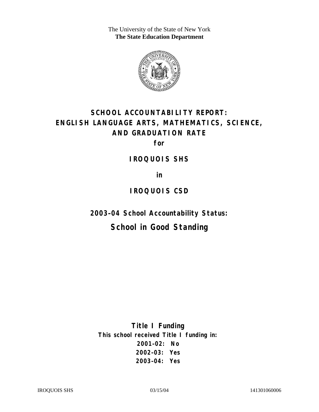The University of the State of New York **The State Education Department** 



# **SCHOOL ACCOUNTABILITY REPORT: ENGLISH LANGUAGE ARTS, MATHEMATICS, SCIENCE, AND GRADUATION RATE**

**for** 

**IROQUOIS SHS** 

**in** 

### **IROQUOIS CSD**

**2003–04 School Accountability Status:** 

## **School in Good Standing**

**Title I Funding This school received Title I funding in: 2001–02: No 2002–03: Yes 2003–04: Yes**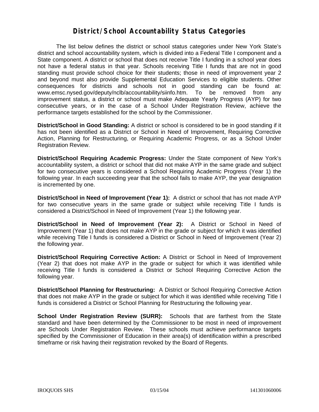#### **District/School Accountability Status Categories**

The list below defines the district or school status categories under New York State's district and school accountability system, which is divided into a Federal Title I component and a State component. A district or school that does not receive Title I funding in a school year does not have a federal status in that year. Schools receiving Title I funds that are not in good standing must provide school choice for their students; those in need of improvement year 2 and beyond must also provide Supplemental Education Services to eligible students. Other consequences for districts and schools not in good standing can be found at: www.emsc.nysed.gov/deputy/nclb/accountability/siinfo.htm. To be removed from any improvement status, a district or school must make Adequate Yearly Progress (AYP) for two consecutive years, or in the case of a School Under Registration Review, achieve the performance targets established for the school by the Commissioner.

**District/School in Good Standing:** A district or school is considered to be in good standing if it has not been identified as a District or School in Need of Improvement, Requiring Corrective Action, Planning for Restructuring, or Requiring Academic Progress, or as a School Under Registration Review.

**District/School Requiring Academic Progress:** Under the State component of New York's accountability system, a district or school that did not make AYP in the same grade and subject for two consecutive years is considered a School Requiring Academic Progress (Year 1) the following year. In each succeeding year that the school fails to make AYP, the year designation is incremented by one.

**District/School in Need of Improvement (Year 1):** A district or school that has not made AYP for two consecutive years in the same grade or subject while receiving Title I funds is considered a District/School in Need of Improvement (Year 1) the following year.

**District/School in Need of Improvement (Year 2):** A District or School in Need of Improvement (Year 1) that does not make AYP in the grade or subject for which it was identified while receiving Title I funds is considered a District or School in Need of Improvement (Year 2) the following year.

**District/School Requiring Corrective Action:** A District or School in Need of Improvement (Year 2) that does not make AYP in the grade or subject for which it was identified while receiving Title I funds is considered a District or School Requiring Corrective Action the following year.

**District/School Planning for Restructuring:** A District or School Requiring Corrective Action that does not make AYP in the grade or subject for which it was identified while receiving Title I funds is considered a District or School Planning for Restructuring the following year.

**School Under Registration Review (SURR):** Schools that are farthest from the State standard and have been determined by the Commissioner to be most in need of improvement are Schools Under Registration Review. These schools must achieve performance targets specified by the Commissioner of Education in their area(s) of identification within a prescribed timeframe or risk having their registration revoked by the Board of Regents.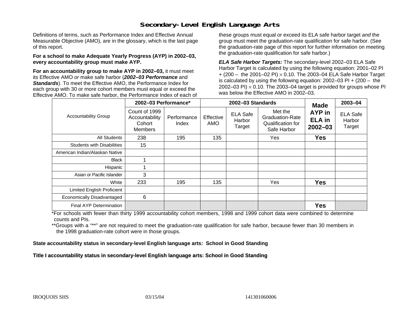### **Secondary-Level English Language Arts**

Definitions of terms, such as Performance Index and Effective Annual Measurable Objective (AMO), are in the glossary, which is the last page of this report.

#### **For a school to make Adequate Yearly Progress (AYP) in 2002–03, every accountability group must make AYP.**

**For an accountability group to make AYP in 2002–03,** it must meet its Effective AMO *or* make safe harbor (*2002–03 Performance* and *Standards*). To meet the Effective AMO, the Performance Index for each group with 30 or more cohort members must equal or exceed the Effective AMO. To make safe harbor, the Performance Index of each of these groups must equal or exceed its ELA safe harbor target *and* the group must meet the graduation-rate qualification for safe harbor. (See the graduation-rate page of this report for further information on meeting the graduation-rate qualification for safe harbor.)

*ELA Safe Harbor Targets:* The secondary-level 2002–03 ELA Safe Harbor Target is calculated by using the following equation: 2001–02 PI + (200 – the 2001–02 PI) <sup>×</sup> 0.10. The 2003–04 ELA Safe Harbor Target is calculated by using the following equation: 2002–03 PI + (200 – the 2002–03 PI)  $\times$  0.10. The 2003–04 target is provided for groups whose PI was below the Effective AMO in 2002–03.

|                                   | 2002-03 Performance*                                        |                      |                  | 2002-03 Standards                   | <b>Made</b>                                                           | 2003-04                                |                                     |
|-----------------------------------|-------------------------------------------------------------|----------------------|------------------|-------------------------------------|-----------------------------------------------------------------------|----------------------------------------|-------------------------------------|
| <b>Accountability Group</b>       | Count of 1999<br>Accountability<br>Cohort<br><b>Members</b> | Performance<br>Index | Effective<br>AMO | <b>ELA Safe</b><br>Harbor<br>Target | Met the<br><b>Graduation-Rate</b><br>Qualification for<br>Safe Harbor | AYP in<br><b>ELA</b> in<br>$2002 - 03$ | <b>ELA Safe</b><br>Harbor<br>Target |
| <b>All Students</b>               | 238                                                         | 195                  | 135              |                                     | Yes                                                                   | <b>Yes</b>                             |                                     |
| <b>Students with Disabilities</b> | 15                                                          |                      |                  |                                     |                                                                       |                                        |                                     |
| American Indian/Alaskan Native    |                                                             |                      |                  |                                     |                                                                       |                                        |                                     |
| <b>Black</b>                      |                                                             |                      |                  |                                     |                                                                       |                                        |                                     |
| Hispanic                          |                                                             |                      |                  |                                     |                                                                       |                                        |                                     |
| Asian or Pacific Islander         | 3                                                           |                      |                  |                                     |                                                                       |                                        |                                     |
| White                             | 233                                                         | 195                  | 135              |                                     | Yes                                                                   | <b>Yes</b>                             |                                     |
| Limited English Proficient        |                                                             |                      |                  |                                     |                                                                       |                                        |                                     |
| Economically Disadvantaged        | 6                                                           |                      |                  |                                     |                                                                       |                                        |                                     |
| Final AYP Determination           |                                                             |                      |                  |                                     |                                                                       | <b>Yes</b>                             |                                     |

\*For schools with fewer than thirty 1999 accountability cohort members, 1998 and 1999 cohort data were combined to determine counts and PIs.

\*\*Groups with a "\*\*" are not required to meet the graduation-rate qualification for safe harbor, because fewer than 30 members in the 1998 graduation-rate cohort were in those groups.

**State accountability status in secondary-level English language arts: School in Good Standing** 

Title I accountability status in secondary-level English language arts: School in Good Standing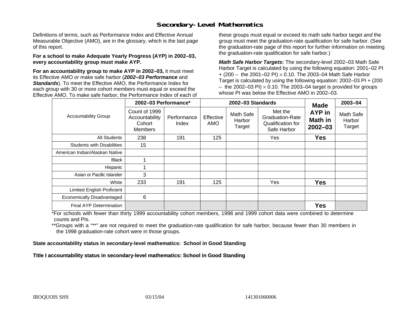### **Secondary-Level Mathematics**

Definitions of terms, such as Performance Index and Effective Annual Measurable Objective (AMO), are in the glossary, which is the last page of this report.

#### **For a school to make Adequate Yearly Progress (AYP) in 2002–03, every accountability group must make AYP.**

**For an accountability group to make AYP in 2002–03,** it must meet its Effective AMO *or* make safe harbor (*2002–03 Performance* and *Standards*). To meet the Effective AMO, the Performance Index for each group with 30 or more cohort members must equal or exceed the Effective AMO. To make safe harbor, the Performance Index of each of these groups must equal or exceed its math safe harbor target *and* the group must meet the graduation-rate qualification for safe harbor. (See the graduation-rate page of this report for further information on meeting the graduation-rate qualification for safe harbor.)

*Math Safe Harbor Targets:* The secondary-level 2002–03 Math Safe Harbor Target is calculated by using the following equation: 2001–02 PI + (200 – the 2001–02 PI) × 0.10. The 2003–04 Math Safe Harbor Target is calculated by using the following equation: 2002–03 PI + (200  $-$  the 2002–03 PI)  $\times$  0.10. The 2003–04 target is provided for groups whose PI was below the Effective AMO in 2002–03.

|                                   | 2002-03 Performance*                                        |                      |                  | 2002-03 Standards             | <b>Made</b>                                                    | $2003 - 04$                      |                               |
|-----------------------------------|-------------------------------------------------------------|----------------------|------------------|-------------------------------|----------------------------------------------------------------|----------------------------------|-------------------------------|
| <b>Accountability Group</b>       | Count of 1999<br>Accountability<br>Cohort<br><b>Members</b> | Performance<br>Index | Effective<br>AMO | Math Safe<br>Harbor<br>Target | Met the<br>Graduation-Rate<br>Qualification for<br>Safe Harbor | AYP in<br>Math in<br>$2002 - 03$ | Math Safe<br>Harbor<br>Target |
| <b>All Students</b>               | 238                                                         | 191                  | 125              |                               | Yes                                                            | Yes                              |                               |
| <b>Students with Disabilities</b> | 15                                                          |                      |                  |                               |                                                                |                                  |                               |
| American Indian/Alaskan Native    |                                                             |                      |                  |                               |                                                                |                                  |                               |
| <b>Black</b>                      |                                                             |                      |                  |                               |                                                                |                                  |                               |
| Hispanic                          |                                                             |                      |                  |                               |                                                                |                                  |                               |
| Asian or Pacific Islander         | 3                                                           |                      |                  |                               |                                                                |                                  |                               |
| White                             | 233                                                         | 191                  | 125              |                               | Yes                                                            | <b>Yes</b>                       |                               |
| Limited English Proficient        |                                                             |                      |                  |                               |                                                                |                                  |                               |
| Economically Disadvantaged        | 6                                                           |                      |                  |                               |                                                                |                                  |                               |
| <b>Final AYP Determination</b>    |                                                             |                      |                  |                               |                                                                | <b>Yes</b>                       |                               |

\*For schools with fewer than thirty 1999 accountability cohort members, 1998 and 1999 cohort data were combined to determine counts and PIs.

\*\*Groups with a "\*\*" are not required to meet the graduation-rate qualification for safe harbor, because fewer than 30 members in the 1998 graduation-rate cohort were in those groups.

**State accountability status in secondary-level mathematics: School in Good Standing** 

Title I accountability status in secondary-level mathematics: School in Good Standing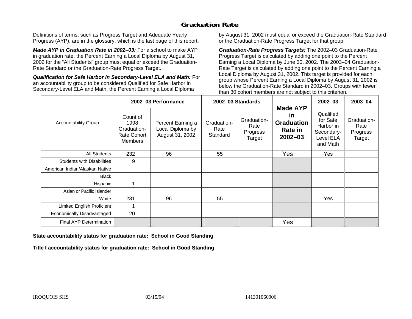### **Graduation Rate**

Definitions of terms, such as Progress Target and Adequate Yearly Progress (AYP), are in the glossary, which is the last page of this report.

*Made AYP in Graduation Rate in 2002–03:* For a school to make AYP in graduation rate, the Percent Earning a Local Diploma by August 31, 2002 for the "All Students" group must equal or exceed the Graduation-Rate Standard or the Graduation-Rate Progress Target.

*Qualification for Safe Harbor in Secondary-Level ELA and Math:* For an accountability group to be considered Qualified for Safe Harbor in Secondary-Level ELA and Math, the Percent Earning a Local Diploma

by August 31, 2002 must equal or exceed the Graduation-Rate Standard or the Graduation-Rate Progress Target for that group.

*Graduation-Rate Progress Targets:* The 2002–03 Graduation-Rate Progress Target is calculated by adding one point to the Percent Earning a Local Diploma by June 30, 2002. The 2003–04 Graduation-Rate Target is calculated by adding one point to the Percent Earning a Local Diploma by August 31, 2002. This target is provided for each group whose Percent Earning a Local Diploma by August 31, 2002 is below the Graduation-Rate Standard in 2002–03. Groups with fewer than 30 cohort members are not subject to this criterion.

|                                   | 2002-03 Performance                                              |                                                          | 2002-03 Standards               |                                           |                                                                             | 2002-03                                                                   | 2003-04                                   |
|-----------------------------------|------------------------------------------------------------------|----------------------------------------------------------|---------------------------------|-------------------------------------------|-----------------------------------------------------------------------------|---------------------------------------------------------------------------|-------------------------------------------|
| <b>Accountability Group</b>       | Count of<br>1998<br>Graduation-<br>Rate Cohort<br><b>Members</b> | Percent Earning a<br>Local Diploma by<br>August 31, 2002 | Graduation-<br>Rate<br>Standard | Graduation-<br>Rate<br>Progress<br>Target | <b>Made AYP</b><br><b>in</b><br><b>Graduation</b><br>Rate in<br>$2002 - 03$ | Qualified<br>for Safe<br>Harbor in<br>Secondary-<br>Level ELA<br>and Math | Graduation-<br>Rate<br>Progress<br>Target |
| All Students                      | 232                                                              | 96                                                       | 55                              |                                           | Yes                                                                         | Yes                                                                       |                                           |
| <b>Students with Disabilities</b> | 9                                                                |                                                          |                                 |                                           |                                                                             |                                                                           |                                           |
| American Indian/Alaskan Native    |                                                                  |                                                          |                                 |                                           |                                                                             |                                                                           |                                           |
| <b>Black</b>                      |                                                                  |                                                          |                                 |                                           |                                                                             |                                                                           |                                           |
| Hispanic                          |                                                                  |                                                          |                                 |                                           |                                                                             |                                                                           |                                           |
| Asian or Pacific Islander         |                                                                  |                                                          |                                 |                                           |                                                                             |                                                                           |                                           |
| White                             | 231                                                              | 96                                                       | 55                              |                                           |                                                                             | Yes                                                                       |                                           |
| Limited English Proficient        |                                                                  |                                                          |                                 |                                           |                                                                             |                                                                           |                                           |
| Economically Disadvantaged        | 20                                                               |                                                          |                                 |                                           |                                                                             |                                                                           |                                           |
| Final AYP Determination           |                                                                  |                                                          |                                 |                                           | Yes                                                                         |                                                                           |                                           |

#### **State accountability status for graduation rate: School in Good Standing**

Title I accountability status for graduation rate: School in Good Standing